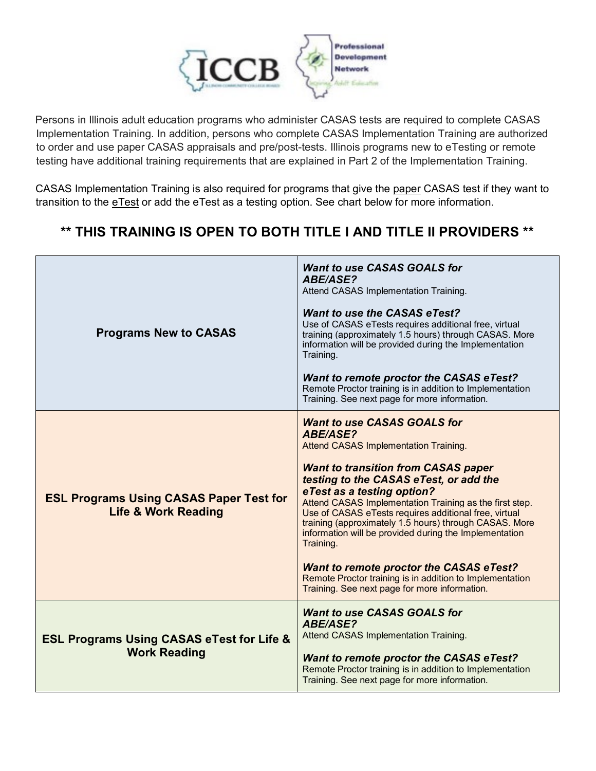

Persons in Illinois adult education programs who administer CASAS tests are required to complete CASAS Implementation Training. In addition, persons who complete CASAS Implementation Training are authorized to order and use paper CASAS appraisals and pre/post-tests. Illinois programs new to eTesting or remote testing have additional training requirements that are explained in Part 2 of the Implementation Training.

CASAS Implementation Training is also required for programs that give the paper CASAS test if they want to transition to the eTest or add the eTest as a testing option. See chart below for more information.

## **\*\* THIS TRAINING IS OPEN TO BOTH TITLE I AND TITLE II PROVIDERS \*\***

| <b>Programs New to CASAS</b>                                                     | <b>Want to use CASAS GOALS for</b><br><b>ABE/ASE?</b><br>Attend CASAS Implementation Training.<br><b>Want to use the CASAS eTest?</b><br>Use of CASAS eTests requires additional free, virtual<br>training (approximately 1.5 hours) through CASAS. More<br>information will be provided during the Implementation<br>Training.<br><b>Want to remote proctor the CASAS eTest?</b><br>Remote Proctor training is in addition to Implementation<br>Training. See next page for more information.                                                                                                                                                  |
|----------------------------------------------------------------------------------|-------------------------------------------------------------------------------------------------------------------------------------------------------------------------------------------------------------------------------------------------------------------------------------------------------------------------------------------------------------------------------------------------------------------------------------------------------------------------------------------------------------------------------------------------------------------------------------------------------------------------------------------------|
| <b>ESL Programs Using CASAS Paper Test for</b><br><b>Life &amp; Work Reading</b> | <b>Want to use CASAS GOALS for</b><br><b>ABE/ASE?</b><br><b>Attend CASAS Implementation Training.</b><br><b>Want to transition from CASAS paper</b><br>testing to the CASAS eTest, or add the<br>eTest as a testing option?<br>Attend CASAS Implementation Training as the first step.<br>Use of CASAS eTests requires additional free, virtual<br>training (approximately 1.5 hours) through CASAS. More<br>information will be provided during the Implementation<br>Training.<br><b>Want to remote proctor the CASAS eTest?</b><br>Remote Proctor training is in addition to Implementation<br>Training. See next page for more information. |
| <b>ESL Programs Using CASAS eTest for Life &amp;</b><br><b>Work Reading</b>      | <b>Want to use CASAS GOALS for</b><br><b>ABE/ASE?</b><br>Attend CASAS Implementation Training.<br><b>Want to remote proctor the CASAS eTest?</b><br>Remote Proctor training is in addition to Implementation<br>Training. See next page for more information.                                                                                                                                                                                                                                                                                                                                                                                   |